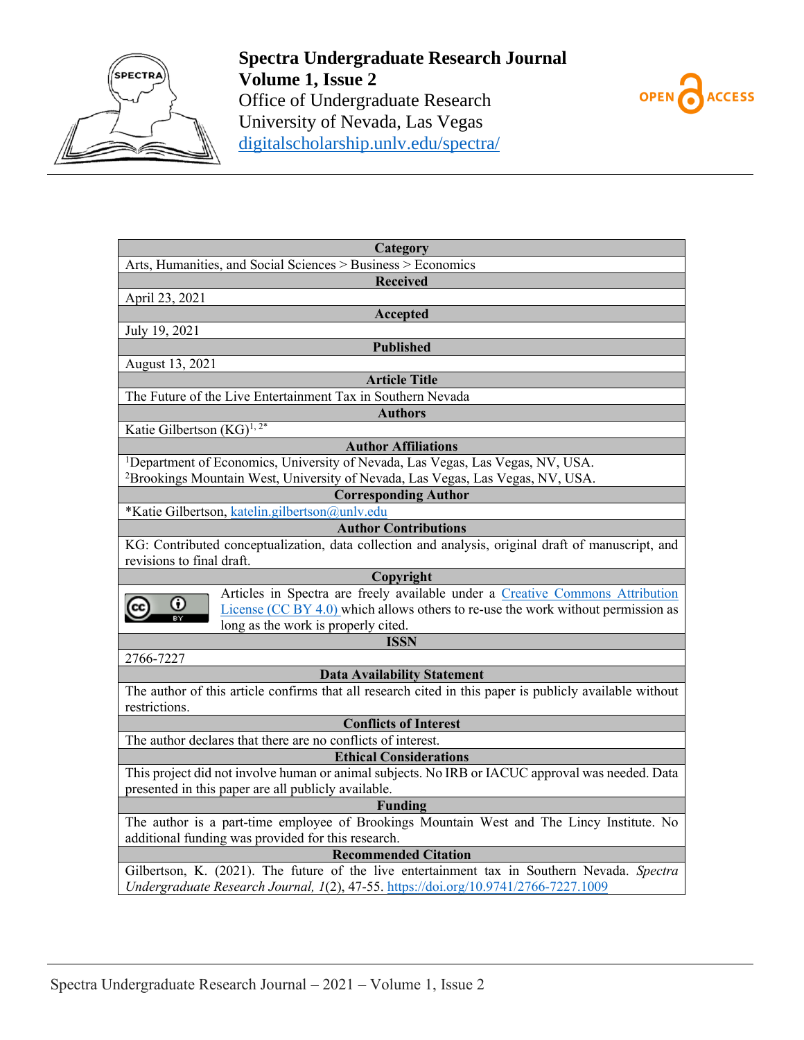



| Category                                                                                                |
|---------------------------------------------------------------------------------------------------------|
| Arts, Humanities, and Social Sciences > Business > Economics                                            |
| <b>Received</b>                                                                                         |
| April 23, 2021                                                                                          |
| Accepted                                                                                                |
| July 19, 2021                                                                                           |
| <b>Published</b>                                                                                        |
| August 13, 2021                                                                                         |
| <b>Article Title</b>                                                                                    |
| The Future of the Live Entertainment Tax in Southern Nevada                                             |
| <b>Authors</b>                                                                                          |
| Katie Gilbertson (KG) <sup>1, 2*</sup>                                                                  |
| <b>Author Affiliations</b>                                                                              |
|                                                                                                         |
| <sup>1</sup> Department of Economics, University of Nevada, Las Vegas, Las Vegas, NV, USA.              |
| <sup>2</sup> Brookings Mountain West, University of Nevada, Las Vegas, Las Vegas, NV, USA.              |
| <b>Corresponding Author</b>                                                                             |
| *Katie Gilbertson, katelin.gilbertson@unlv.edu                                                          |
| <b>Author Contributions</b>                                                                             |
| KG: Contributed conceptualization, data collection and analysis, original draft of manuscript, and      |
| revisions to final draft.                                                                               |
| Copyright                                                                                               |
| Articles in Spectra are freely available under a Creative Commons Attribution<br>Ω                      |
| License $(CC BY 4.0)$ which allows others to re-use the work without permission as                      |
| long as the work is properly cited.                                                                     |
| <b>ISSN</b>                                                                                             |
| 2766-7227                                                                                               |
| <b>Data Availability Statement</b>                                                                      |
| The author of this article confirms that all research cited in this paper is publicly available without |
| restrictions.                                                                                           |
| <b>Conflicts of Interest</b>                                                                            |
| The author declares that there are no conflicts of interest.                                            |
| <b>Ethical Considerations</b>                                                                           |
| This project did not involve human or animal subjects. No IRB or IACUC approval was needed. Data        |
| presented in this paper are all publicly available.                                                     |
| <b>Funding</b>                                                                                          |
| The author is a part-time employee of Brookings Mountain West and The Lincy Institute. No               |
| additional funding was provided for this research.                                                      |
| <b>Recommended Citation</b>                                                                             |
| Gilbertson, K. (2021). The future of the live entertainment tax in Southern Nevada. Spectra             |
| Undergraduate Research Journal, 1(2), 47-55. https://doi.org/10.9741/2766-7227.1009                     |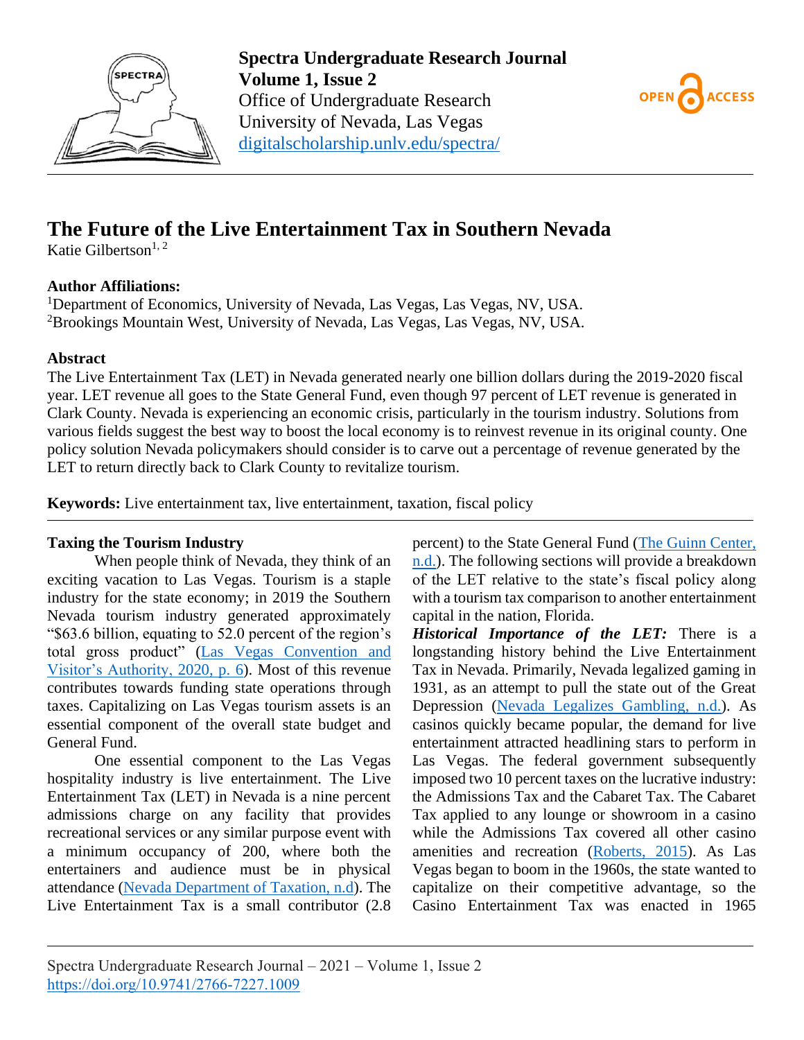



# **The Future of the Live Entertainment Tax in Southern Nevada**

Katie Gilbertson<sup>1, 2</sup>

# **Author Affiliations:**

<sup>1</sup>Department of Economics, University of Nevada, Las Vegas, Las Vegas, NV, USA. <sup>2</sup>Brookings Mountain West, University of Nevada, Las Vegas, Las Vegas, NV, USA.

## **Abstract**

The Live Entertainment Tax (LET) in Nevada generated nearly one billion dollars during the 2019-2020 fiscal year. LET revenue all goes to the State General Fund, even though 97 percent of LET revenue is generated in Clark County. Nevada is experiencing an economic crisis, particularly in the tourism industry. Solutions from various fields suggest the best way to boost the local economy is to reinvest revenue in its original county. One policy solution Nevada policymakers should consider is to carve out a percentage of revenue generated by the LET to return directly back to Clark County to revitalize tourism.

**Keywords:** Live entertainment tax, live entertainment, taxation, fiscal policy

# **Taxing the Tourism Industry**

When people think of Nevada, they think of an exciting vacation to Las Vegas. Tourism is a staple industry for the state economy; in 2019 the Southern Nevada tourism industry generated approximately "\$63.6 billion, equating to 52.0 percent of the region's total gross product" [\(Las Vegas Convention and](#page-9-0)  [Visitor's Authority,](#page-9-0) 2020, p. 6). Most of this revenue contributes towards funding state operations through taxes. Capitalizing on Las Vegas tourism assets is an essential component of the overall state budget and General Fund.

One essential component to the Las Vegas hospitality industry is live entertainment. The Live Entertainment Tax (LET) in Nevada is a nine percent admissions charge on any facility that provides recreational services or any similar purpose event with a minimum occupancy of 200, where both the entertainers and audience must be in physical attendance [\(Nevada Department of Taxation, n.d\)](#page-9-1). The Live Entertainment Tax is a small contributor (2.8 percent) to the State General Fund [\(The Guinn Center,](#page-9-2)  [n.d.\)](#page-9-2). The following sections will provide a breakdown of the LET relative to the state's fiscal policy along with a tourism tax comparison to another entertainment capital in the nation, Florida.

*Historical Importance of the LET:* There is a longstanding history behind the Live Entertainment Tax in Nevada. Primarily, Nevada legalized gaming in 1931, as an attempt to pull the state out of the Great Depression [\(Nevada Legalizes Gambling, n.d.\)](#page-9-3). As casinos quickly became popular, the demand for live entertainment attracted headlining stars to perform in Las Vegas. The federal government subsequently imposed two 10 percent taxes on the lucrative industry: the Admissions Tax and the Cabaret Tax. The Cabaret Tax applied to any lounge or showroom in a casino while the Admissions Tax covered all other casino amenities and recreation [\(Roberts, 2015\)](#page-9-4). As Las Vegas began to boom in the 1960s, the state wanted to capitalize on their competitive advantage, so the Casino Entertainment Tax was enacted in 1965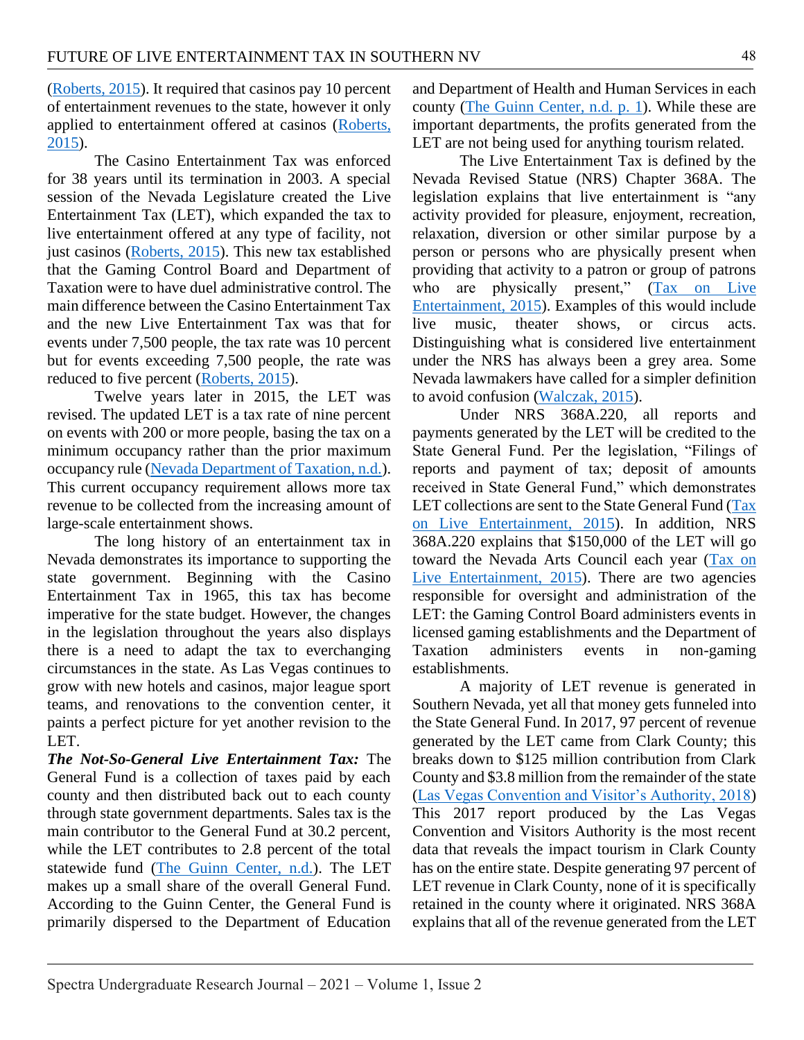[\(Roberts, 2015\)](#page-9-4). It required that casinos pay 10 percent of entertainment revenues to the state, however it only applied to entertainment offered at casinos [\(Roberts,](#page-9-4)  [2015\)](#page-9-4).

The Casino Entertainment Tax was enforced for 38 years until its termination in 2003. A special session of the Nevada Legislature created the Live Entertainment Tax (LET), which expanded the tax to live entertainment offered at any type of facility, not just casinos [\(Roberts, 2015\)](#page-9-4). This new tax established that the Gaming Control Board and Department of Taxation were to have duel administrative control. The main difference between the Casino Entertainment Tax and the new Live Entertainment Tax was that for events under 7,500 people, the tax rate was 10 percent but for events exceeding 7,500 people, the rate was reduced to five percent [\(Roberts, 2015\)](#page-9-4).

Twelve years later in 2015, the LET was revised. The updated LET is a tax rate of nine percent on events with 200 or more people, basing the tax on a minimum occupancy rather than the prior maximum occupancy rule [\(Nevada Department of Taxation, n.d.\)](#page-9-1). This current occupancy requirement allows more tax revenue to be collected from the increasing amount of large-scale entertainment shows.

The long history of an entertainment tax in Nevada demonstrates its importance to supporting the state government. Beginning with the Casino Entertainment Tax in 1965, this tax has become imperative for the state budget. However, the changes in the legislation throughout the years also displays there is a need to adapt the tax to everchanging circumstances in the state. As Las Vegas continues to grow with new hotels and casinos, major league sport teams, and renovations to the convention center, it paints a perfect picture for yet another revision to the LET.

*The Not-So-General Live Entertainment Tax:* The General Fund is a collection of taxes paid by each county and then distributed back out to each county through state government departments. Sales tax is the main contributor to the General Fund at 30.2 percent, while the LET contributes to 2.8 percent of the total statewide fund [\(The Guinn Center, n.d.\)](#page-9-2). The LET makes up a small share of the overall General Fund. According to the Guinn Center, the General Fund is primarily dispersed to the Department of Education

and Department of Health and Human Services in each county [\(The Guinn Center, n.d. p. 1\)](#page-9-2). While these are important departments, the profits generated from the LET are not being used for anything tourism related.

The Live Entertainment Tax is defined by the Nevada Revised Statue (NRS) Chapter 368A. The legislation explains that live entertainment is "any activity provided for pleasure, enjoyment, recreation, relaxation, diversion or other similar purpose by a person or persons who are physically present when providing that activity to a patron or group of patrons who are physically present," (Tax on Live [Entertainment, 2015\)](#page-9-5). Examples of this would include live music, theater shows, or circus acts. Distinguishing what is considered live entertainment under the NRS has always been a grey area. Some Nevada lawmakers have called for a simpler definition to avoid confusion [\(Walczak, 2015\)](#page-9-6).

Under NRS 368A.220, all reports and payments generated by the LET will be credited to the State General Fund. Per the legislation, "Filings of reports and payment of tax; deposit of amounts received in State General Fund," which demonstrates LET collections are sent to the State General Fund (Tax [on Live Entertainment, 2015\)](#page-9-5). In addition, NRS 368A.220 explains that \$150,000 of the LET will go toward the Nevada Arts Council each year [\(Tax on](#page-9-5)  [Live Entertainment, 2015\)](#page-9-5). There are two agencies responsible for oversight and administration of the LET: the Gaming Control Board administers events in licensed gaming establishments and the Department of Taxation administers events in non-gaming establishments.

A majority of LET revenue is generated in Southern Nevada, yet all that money gets funneled into the State General Fund. In 2017, 97 percent of revenue generated by the LET came from Clark County; this breaks down to \$125 million contribution from Clark County and \$3.8 million from the remainder of the state [\(Las Vegas Convention and Visitor's Authority, 2018\)](#page-9-7) This 2017 report produced by the Las Vegas Convention and Visitors Authority is the most recent data that reveals the impact tourism in Clark County has on the entire state. Despite generating 97 percent of LET revenue in Clark County, none of it is specifically retained in the county where it originated. NRS 368A explains that all of the revenue generated from the LET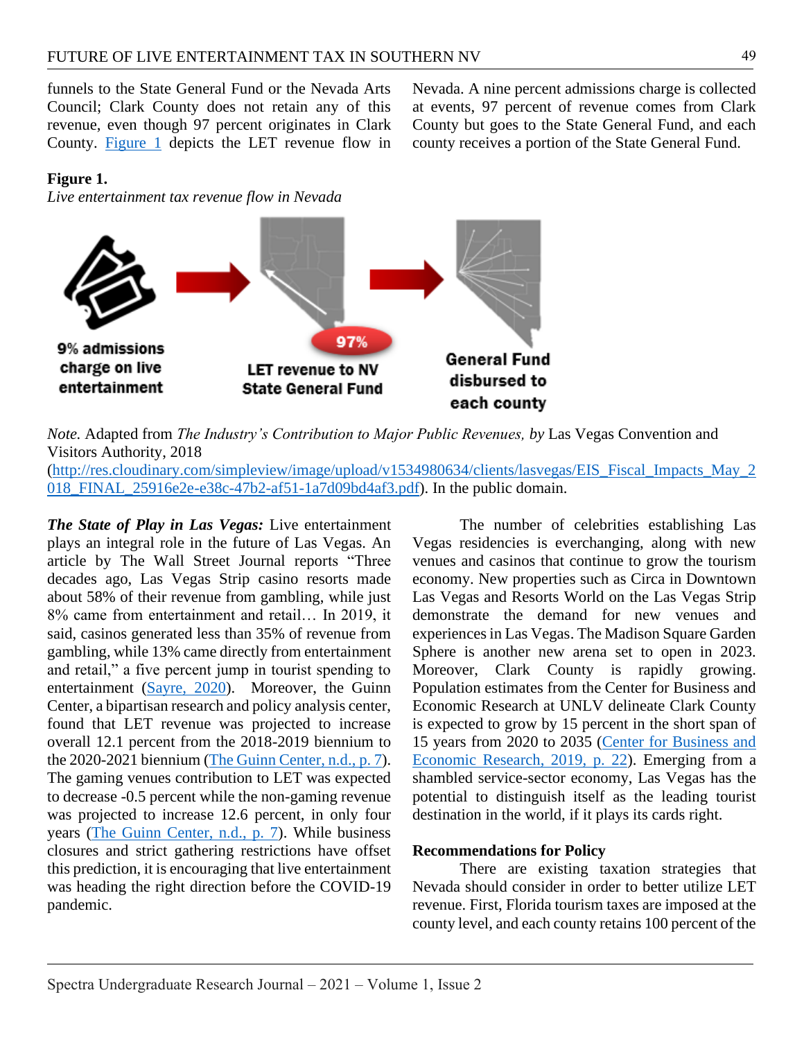funnels to the State General Fund or the Nevada Arts Council; Clark County does not retain any of this revenue, even though 97 percent originates in Clark County. [Figure 1](#page-3-0) depicts the LET revenue flow in

Nevada. A nine percent admissions charge is collected at events, 97 percent of revenue comes from Clark County but goes to the State General Fund, and each county receives a portion of the State General Fund.

#### <span id="page-3-0"></span>**Figure 1.**

*Live entertainment tax revenue flow in Nevada*



*Note.* Adapted from *The Industry's Contribution to Major Public Revenues, by* Las Vegas Convention and Visitors Authority, 2018 [\(http://res.cloudinary.com/simpleview/image/upload/v1534980634/clients/lasvegas/EIS\\_Fiscal\\_Impacts\\_May\\_2](http://res.cloudinary.com/simpleview/image/upload/v1534980634/clients/lasvegas/EIS_Fiscal_Impacts_May_2018_FINAL_25916e2e-e38c-47b2-af51-1a7d09bd4af3.pdf) 018 FINAL 25916e2e-e38c-47b2-af51-1a7d09bd4af3.pdf). In the public domain.

*The State of Play in Las Vegas:* Live entertainment plays an integral role in the future of Las Vegas. An article by The Wall Street Journal reports "Three decades ago, Las Vegas Strip casino resorts made about 58% of their revenue from gambling, while just 8% came from entertainment and retail… In 2019, it said, casinos generated less than 35% of revenue from gambling, while 13% came directly from entertainment and retail," a five percent jump in tourist spending to entertainment [\(Sayre, 2020\)](#page-9-8). Moreover, the Guinn Center, a bipartisan research and policy analysis center, found that LET revenue was projected to increase overall 12.1 percent from the 2018-2019 biennium to the 2020-2021 biennium [\(The Guinn Center, n.d., p. 7\)](#page-9-2). The gaming venues contribution to LET was expected to decrease -0.5 percent while the non-gaming revenue was projected to increase 12.6 percent, in only four years [\(The Guinn Center, n.d., p. 7\)](#page-9-2). While business closures and strict gathering restrictions have offset this prediction, it is encouraging that live entertainment was heading the right direction before the COVID-19 pandemic.

The number of celebrities establishing Las Vegas residencies is everchanging, along with new venues and casinos that continue to grow the tourism economy. New properties such as Circa in Downtown Las Vegas and Resorts World on the Las Vegas Strip demonstrate the demand for new venues and experiences in Las Vegas. The Madison Square Garden Sphere is another new arena set to open in 2023. Moreover, Clark County is rapidly growing. Population estimates from the Center for Business and Economic Research at UNLV delineate Clark County is expected to grow by 15 percent in the short span of 15 years from 2020 to 2035 [\(Center for Business and](#page-8-0)  [Economic Research, 2019, p. 22\)](#page-8-0). Emerging from a shambled service-sector economy, Las Vegas has the potential to distinguish itself as the leading tourist destination in the world, if it plays its cards right.

#### **Recommendations for Policy**

There are existing taxation strategies that Nevada should consider in order to better utilize LET revenue. First, Florida tourism taxes are imposed at the county level, and each county retains 100 percent of the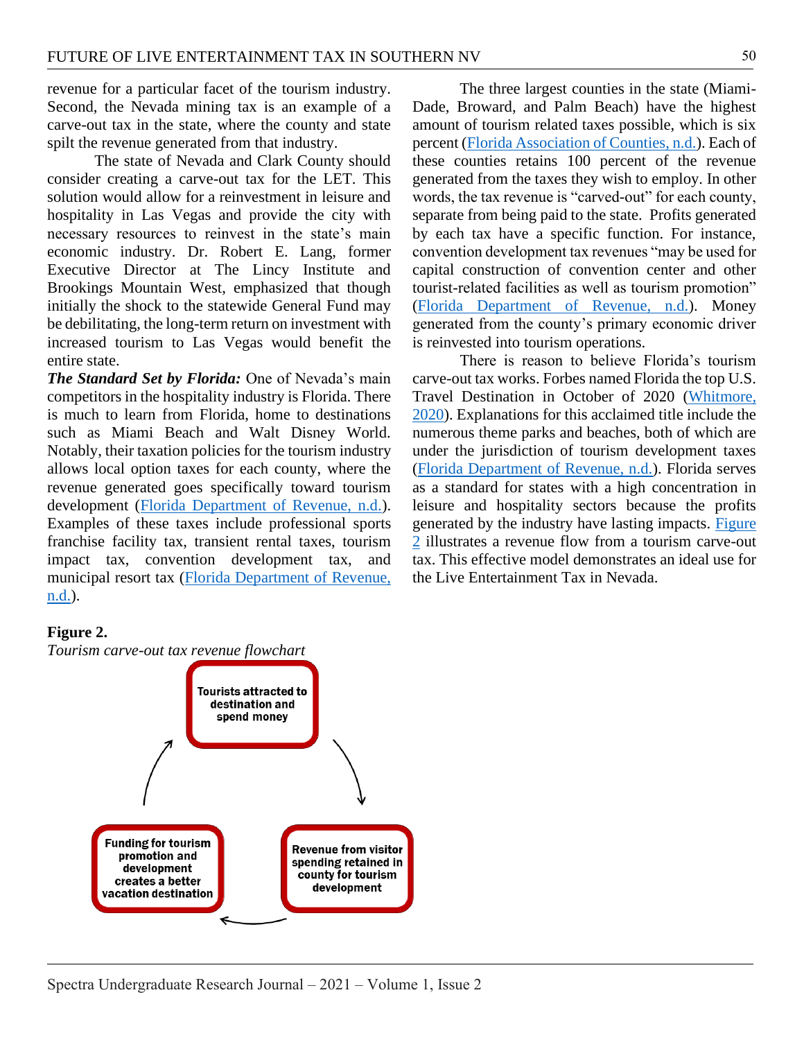revenue for a particular facet of the tourism industry. Second, the Nevada mining tax is an example of a carve-out tax in the state, where the county and state spilt the revenue generated from that industry.

The state of Nevada and Clark County should consider creating a carve-out tax for the LET. This solution would allow for a reinvestment in leisure and hospitality in Las Vegas and provide the city with necessary resources to reinvest in the state's main economic industry. Dr. Robert E. Lang, former Executive Director at The Lincy Institute and Brookings Mountain West, emphasized that though initially the shock to the statewide General Fund may be debilitating, the long-term return on investment with increased tourism to Las Vegas would benefit the entire state.

*The Standard Set by Florida:* One of Nevada's main competitors in the hospitality industry is Florida. There is much to learn from Florida, home to destinations such as Miami Beach and Walt Disney World. Notably, their taxation policies for the tourism industry allows local option taxes for each county, where the revenue generated goes specifically toward tourism development [\(Florida Department of Revenue, n.d.\)](#page-8-1). Examples of these taxes include professional sports franchise facility tax, transient rental taxes, tourism impact tax, convention development tax, and municipal resort tax [\(Florida Department of Revenue,](#page-8-1)  [n.d.\)](#page-8-1).

The three largest counties in the state (Miami-Dade, Broward, and Palm Beach) have the highest amount of tourism related taxes possible, which is six percent [\(Florida Association of Counties, n.d.\)](#page-8-2). Each of these counties retains 100 percent of the revenue generated from the taxes they wish to employ. In other words, the tax revenue is "carved-out" for each county, separate from being paid to the state. Profits generated by each tax have a specific function. For instance, convention development tax revenues "may be used for capital construction of convention center and other tourist-related facilities as well as tourism promotion" [\(Florida Department of Revenue, n.d.\)](#page-8-1). Money generated from the county's primary economic driver is reinvested into tourism operations.

There is reason to believe Florida's tourism carve-out tax works. Forbes named Florida the top U.S. Travel Destination in October of 2020 [\(Whitmore,](#page-9-9)  [2020\)](#page-9-9). Explanations for this acclaimed title include the numerous theme parks and beaches, both of which are under the jurisdiction of tourism development taxes [\(Florida Department of Revenue, n.d.\)](#page-8-1). Florida serves as a standard for states with a high concentration in leisure and hospitality sectors because the profits generated by the industry have lasting impacts. [Figure](#page-4-0)  [2](#page-4-0) illustrates a revenue flow from a tourism carve-out tax. This effective model demonstrates an ideal use for the Live Entertainment Tax in Nevada.

# <span id="page-4-0"></span>**Figure 2.**

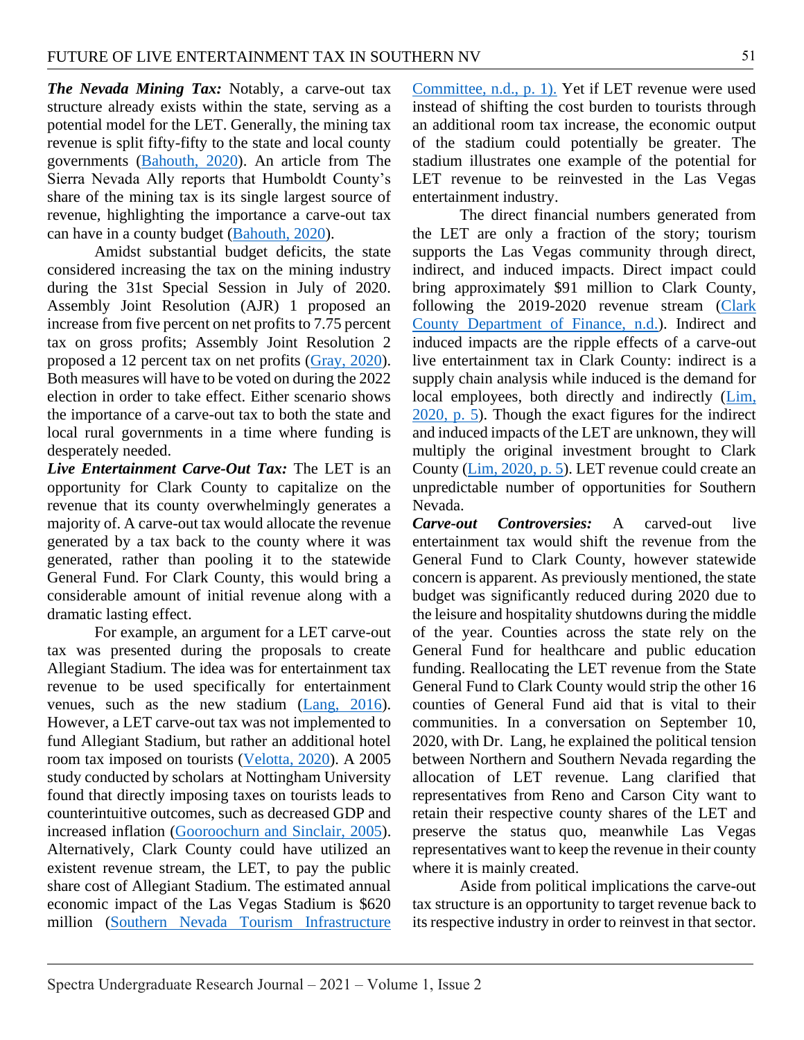*The Nevada Mining Tax:* Notably, a carve-out tax structure already exists within the state, serving as a potential model for the LET. Generally, the mining tax revenue is split fifty-fifty to the state and local county governments [\(Bahouth, 2020\)](#page-8-3). An article from The Sierra Nevada Ally reports that Humboldt County's share of the mining tax is its single largest source of revenue, highlighting the importance a carve-out tax can have in a county budget [\(Bahouth, 2020\)](#page-8-3).

Amidst substantial budget deficits, the state considered increasing the tax on the mining industry during the 31st Special Session in July of 2020. Assembly Joint Resolution (AJR) 1 proposed an increase from five percent on net profits to 7.75 percent tax on gross profits; Assembly Joint Resolution 2 proposed a 12 percent tax on net profits [\(Gray, 2020\)](#page-8-4). Both measures will have to be voted on during the 2022 election in order to take effect. Either scenario shows the importance of a carve-out tax to both the state and local rural governments in a time where funding is desperately needed.

*Live Entertainment Carve-Out Tax:* The LET is an opportunity for Clark County to capitalize on the revenue that its county overwhelmingly generates a majority of. A carve-out tax would allocate the revenue generated by a tax back to the county where it was generated, rather than pooling it to the statewide General Fund. For Clark County, this would bring a considerable amount of initial revenue along with a dramatic lasting effect.

For example, an argument for a LET carve-out tax was presented during the proposals to create Allegiant Stadium. The idea was for entertainment tax revenue to be used specifically for entertainment venues, such as the new stadium [\(Lang, 2016\)](#page-9-10). However, a LET carve-out tax was not implemented to fund Allegiant Stadium, but rather an additional hotel room tax imposed on tourists [\(Velotta, 2020\)](#page-9-11). A 2005 study conducted by scholars at Nottingham University found that directly imposing taxes on tourists leads to counterintuitive outcomes, such as decreased GDP and increased inflation [\(Gooroochurn and Sinclair, 2005\)](#page-8-5). Alternatively, Clark County could have utilized an existent revenue stream, the LET, to pay the public share cost of Allegiant Stadium. The estimated annual economic impact of the Las Vegas Stadium is \$620 million [\(Southern Nevada Tourism Infrastructure](#page-9-12) 

[Committee, n.d., p. 1\).](#page-9-12) Yet if LET revenue were used instead of shifting the cost burden to tourists through an additional room tax increase, the economic output of the stadium could potentially be greater. The stadium illustrates one example of the potential for LET revenue to be reinvested in the Las Vegas entertainment industry.

The direct financial numbers generated from the LET are only a fraction of the story; tourism supports the Las Vegas community through direct, indirect, and induced impacts. Direct impact could bring approximately \$91 million to Clark County, following the 2019-2020 revenue stream (Clark [County Department of Finance, n.d.\)](#page-8-6). Indirect and induced impacts are the ripple effects of a carve-out live entertainment tax in Clark County: indirect is a supply chain analysis while induced is the demand for local employees, both directly and indirectly (Lim, [2020, p. 5\)](#page-9-13). Though the exact figures for the indirect and induced impacts of the LET are unknown, they will multiply the original investment brought to Clark County [\(Lim, 2020, p. 5\)](#page-9-13). LET revenue could create an unpredictable number of opportunities for Southern Nevada.

*Carve-out Controversies:* A carved-out live entertainment tax would shift the revenue from the General Fund to Clark County, however statewide concern is apparent. As previously mentioned, the state budget was significantly reduced during 2020 due to the leisure and hospitality shutdowns during the middle of the year. Counties across the state rely on the General Fund for healthcare and public education funding. Reallocating the LET revenue from the State General Fund to Clark County would strip the other 16 counties of General Fund aid that is vital to their communities. In a conversation on September 10, 2020, with Dr. Lang, he explained the political tension between Northern and Southern Nevada regarding the allocation of LET revenue. Lang clarified that representatives from Reno and Carson City want to retain their respective county shares of the LET and preserve the status quo, meanwhile Las Vegas representatives want to keep the revenue in their county where it is mainly created.

Aside from political implications the carve-out tax structure is an opportunity to target revenue back to its respective industry in order to reinvest in that sector.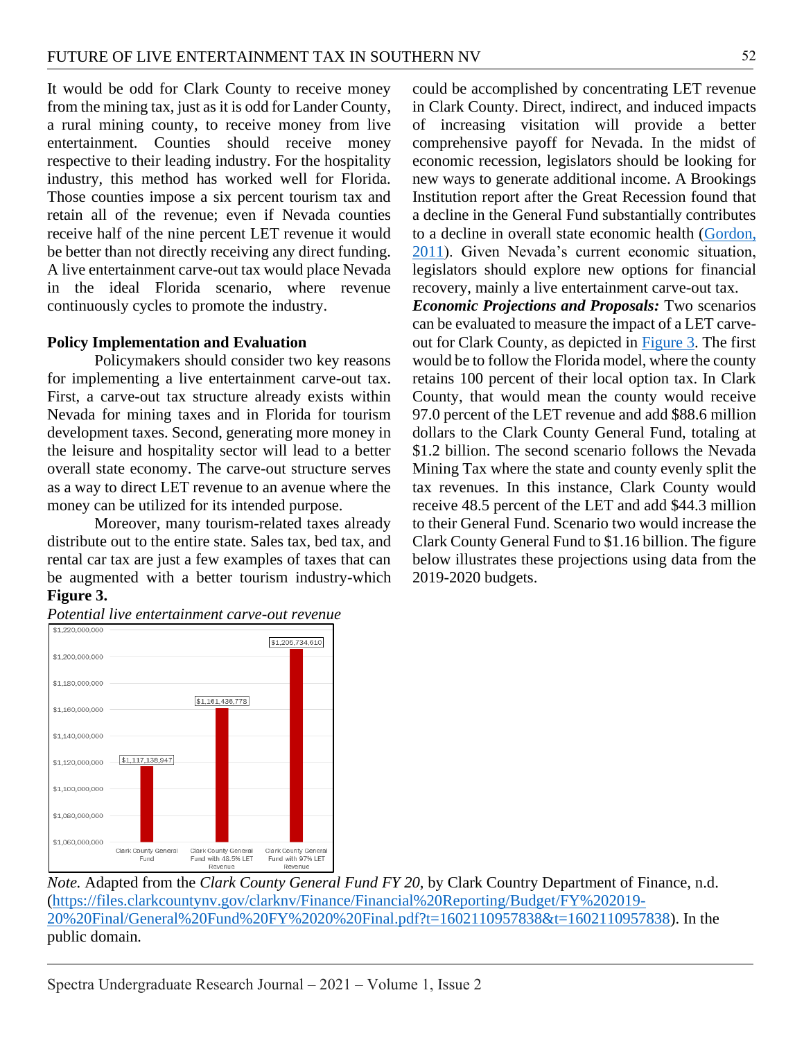It would be odd for Clark County to receive money from the mining tax, just as it is odd for Lander County, a rural mining county, to receive money from live entertainment. Counties should receive money respective to their leading industry. For the hospitality industry, this method has worked well for Florida. Those counties impose a six percent tourism tax and retain all of the revenue; even if Nevada counties receive half of the nine percent LET revenue it would be better than not directly receiving any direct funding. A live entertainment carve-out tax would place Nevada in the ideal Florida scenario, where revenue continuously cycles to promote the industry.

#### **Policy Implementation and Evaluation**

Policymakers should consider two key reasons for implementing a live entertainment carve-out tax. First, a carve-out tax structure already exists within Nevada for mining taxes and in Florida for tourism development taxes. Second, generating more money in the leisure and hospitality sector will lead to a better overall state economy. The carve-out structure serves as a way to direct LET revenue to an avenue where the money can be utilized for its intended purpose.

Moreover, many tourism-related taxes already distribute out to the entire state. Sales tax, bed tax, and rental car tax are just a few examples of taxes that can be augmented with a better tourism industry-which **Figure 3.**

could be accomplished by concentrating LET revenue in Clark County. Direct, indirect, and induced impacts of increasing visitation will provide a better comprehensive payoff for Nevada. In the midst of economic recession, legislators should be looking for new ways to generate additional income. A Brookings Institution report after the Great Recession found that a decline in the General Fund substantially contributes to a decline in overall state economic health [\(Gordon,](#page-8-7)  [2011\)](#page-8-7). Given Nevada's current economic situation, legislators should explore new options for financial recovery, mainly a live entertainment carve-out tax.

*Economic Projections and Proposals:* Two scenarios can be evaluated to measure the impact of a LET carveout for Clark County, as depicted in [Figure 3.](#page-6-0) The first would be to follow the Florida model, where the county retains 100 percent of their local option tax. In Clark County, that would mean the county would receive 97.0 percent of the LET revenue and add \$88.6 million dollars to the Clark County General Fund, totaling at \$1.2 billion. The second scenario follows the Nevada Mining Tax where the state and county evenly split the tax revenues. In this instance, Clark County would receive 48.5 percent of the LET and add \$44.3 million to their General Fund. Scenario two would increase the Clark County General Fund to \$1.16 billion. The figure below illustrates these projections using data from the 2019-2020 budgets.

<span id="page-6-0"></span>

*Note.* Adapted from the *Clark County General Fund FY 20,* by Clark Country Department of Finance, n.d. [\(https://files.clarkcountynv.gov/clarknv/Finance/Financial%20Reporting/Budget/FY%202019-](https://files.clarkcountynv.gov/clarknv/Finance/Financial%20Reporting/Budget/FY%202019-20%20Final/General%20Fund%20FY%2020%20Final.pdf?t=1602110957838&t=1602110957838) [20%20Final/General%20Fund%20FY%2020%20Final.pdf?t=1602110957838&t=1602110957838\)](https://files.clarkcountynv.gov/clarknv/Finance/Financial%20Reporting/Budget/FY%202019-20%20Final/General%20Fund%20FY%2020%20Final.pdf?t=1602110957838&t=1602110957838). In the public domain*.*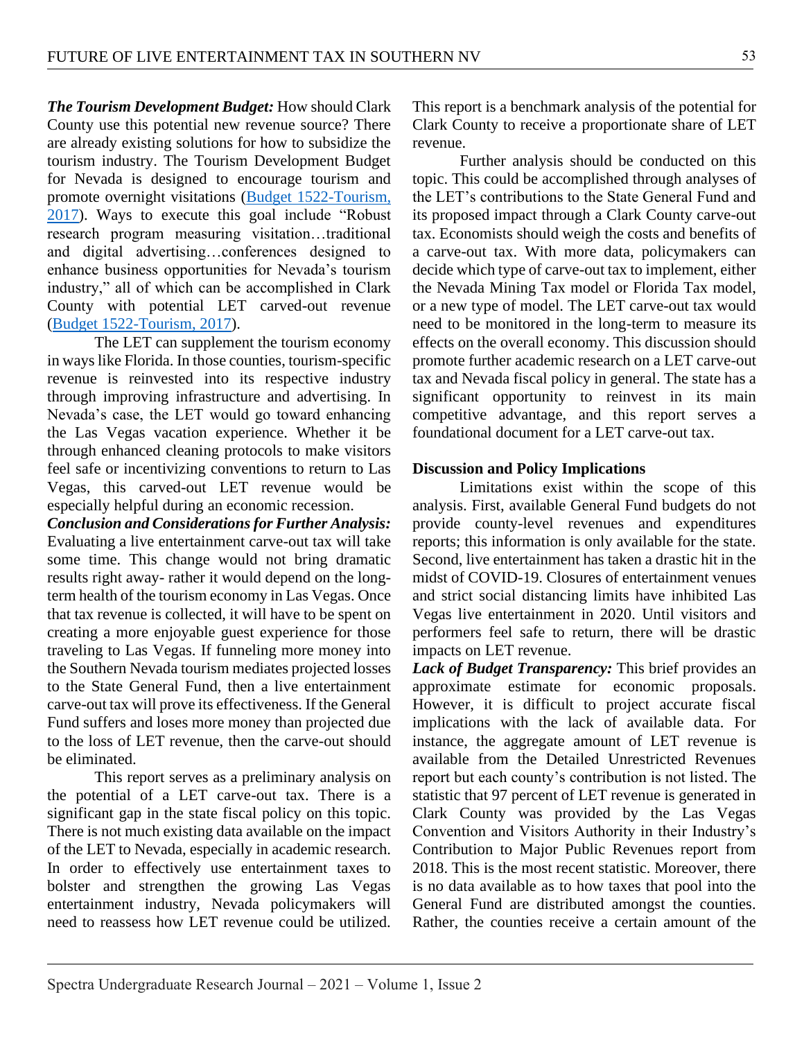*The Tourism Development Budget:* How should Clark County use this potential new revenue source? There are already existing solutions for how to subsidize the tourism industry. The Tourism Development Budget for Nevada is designed to encourage tourism and promote overnight visitations [\(Budget 1522-Tourism,](#page-8-0)  [2017\)](#page-8-0). Ways to execute this goal include "Robust research program measuring visitation…traditional and digital advertising…conferences designed to enhance business opportunities for Nevada's tourism industry," all of which can be accomplished in Clark County with potential LET carved-out revenue [\(Budget 1522-Tourism, 2017\)](#page-8-0).

The LET can supplement the tourism economy in ways like Florida. In those counties, tourism-specific revenue is reinvested into its respective industry through improving infrastructure and advertising. In Nevada's case, the LET would go toward enhancing the Las Vegas vacation experience. Whether it be through enhanced cleaning protocols to make visitors feel safe or incentivizing conventions to return to Las Vegas, this carved-out LET revenue would be especially helpful during an economic recession.

*Conclusion and Considerations for Further Analysis:*  Evaluating a live entertainment carve-out tax will take some time. This change would not bring dramatic results right away- rather it would depend on the longterm health of the tourism economy in Las Vegas. Once that tax revenue is collected, it will have to be spent on creating a more enjoyable guest experience for those traveling to Las Vegas. If funneling more money into the Southern Nevada tourism mediates projected losses to the State General Fund, then a live entertainment carve-out tax will prove its effectiveness. If the General Fund suffers and loses more money than projected due to the loss of LET revenue, then the carve-out should be eliminated.

This report serves as a preliminary analysis on the potential of a LET carve-out tax. There is a significant gap in the state fiscal policy on this topic. There is not much existing data available on the impact of the LET to Nevada, especially in academic research. In order to effectively use entertainment taxes to bolster and strengthen the growing Las Vegas entertainment industry, Nevada policymakers will need to reassess how LET revenue could be utilized.

This report is a benchmark analysis of the potential for Clark County to receive a proportionate share of LET revenue.

Further analysis should be conducted on this topic. This could be accomplished through analyses of the LET's contributions to the State General Fund and its proposed impact through a Clark County carve-out tax. Economists should weigh the costs and benefits of a carve-out tax. With more data, policymakers can decide which type of carve-out tax to implement, either the Nevada Mining Tax model or Florida Tax model, or a new type of model. The LET carve-out tax would need to be monitored in the long-term to measure its effects on the overall economy. This discussion should promote further academic research on a LET carve-out tax and Nevada fiscal policy in general. The state has a significant opportunity to reinvest in its main competitive advantage, and this report serves a foundational document for a LET carve-out tax.

## **Discussion and Policy Implications**

Limitations exist within the scope of this analysis. First, available General Fund budgets do not provide county-level revenues and expenditures reports; this information is only available for the state. Second, live entertainment has taken a drastic hit in the midst of COVID-19. Closures of entertainment venues and strict social distancing limits have inhibited Las Vegas live entertainment in 2020. Until visitors and performers feel safe to return, there will be drastic impacts on LET revenue.

*Lack of Budget Transparency:* This brief provides an approximate estimate for economic proposals. However, it is difficult to project accurate fiscal implications with the lack of available data. For instance, the aggregate amount of LET revenue is available from the Detailed Unrestricted Revenues report but each county's contribution is not listed. The statistic that 97 percent of LET revenue is generated in Clark County was provided by the Las Vegas Convention and Visitors Authority in their Industry's Contribution to Major Public Revenues report from 2018. This is the most recent statistic. Moreover, there is no data available as to how taxes that pool into the General Fund are distributed amongst the counties. Rather, the counties receive a certain amount of the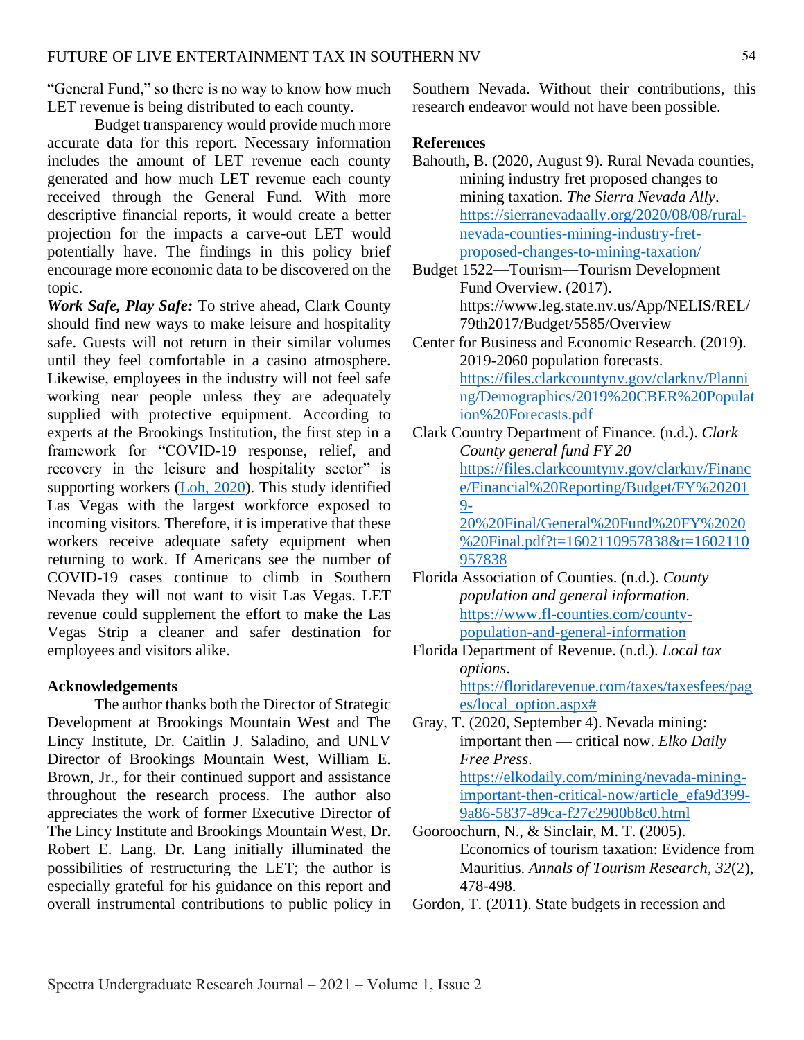"General Fund," so there is no way to know how much LET revenue is being distributed to each county.

Budget transparency would provide much more accurate data for this report. Necessary information includes the amount of LET revenue each county generated and how much LET revenue each county received through the General Fund. With more descriptive financial reports, it would create a better projection for the impacts a carve-out LET would potentially have. The findings in this policy brief encourage more economic data to be discovered on the topic.

*Work Safe, Play Safe:* To strive ahead, Clark County should find new ways to make leisure and hospitality safe. Guests will not return in their similar volumes until they feel comfortable in a casino atmosphere. Likewise, employees in the industry will not feel safe working near people unless they are adequately supplied with protective equipment. According to experts at the Brookings Institution, the first step in a framework for "COVID-19 response, relief, and recovery in the leisure and hospitality sector" is supporting workers [\(Loh, 2020\)](#page-9-14). This study identified Las Vegas with the largest workforce exposed to incoming visitors. Therefore, it is imperative that these workers receive adequate safety equipment when returning to work. If Americans see the number of COVID-19 cases continue to climb in Southern Nevada they will not want to visit Las Vegas. LET revenue could supplement the effort to make the Las Vegas Strip a cleaner and safer destination for employees and visitors alike.

## **Acknowledgements**

The author thanks both the Director of Strategic Development at Brookings Mountain West and The Lincy Institute, Dr. Caitlin J. Saladino, and UNLV Director of Brookings Mountain West, William E. Brown, Jr., for their continued support and assistance throughout the research process. The author also appreciates the work of former Executive Director of The Lincy Institute and Brookings Mountain West, Dr. Robert E. Lang. Dr. Lang initially illuminated the possibilities of restructuring the LET; the author is especially grateful for his guidance on this report and overall instrumental contributions to public policy in Southern Nevada. Without their contributions, this research endeavor would not have been possible.

#### **References**

- <span id="page-8-3"></span>Bahouth, B. (2020, August 9). Rural Nevada counties, mining industry fret proposed changes to mining taxation. *The Sierra Nevada Ally*. [https://sierranevadaally.org/2020/08/08/rural](https://sierranevadaally.org/2020/08/08/rural-nevada-counties-mining-industry-fret-proposed-changes-to-mining-taxation/)[nevada-counties-mining-industry-fret](https://sierranevadaally.org/2020/08/08/rural-nevada-counties-mining-industry-fret-proposed-changes-to-mining-taxation/)[proposed-changes-to-mining-taxation/](https://sierranevadaally.org/2020/08/08/rural-nevada-counties-mining-industry-fret-proposed-changes-to-mining-taxation/)
- <span id="page-8-0"></span>Budget 1522—Tourism—Tourism Development Fund Overview. (2017). https://www.leg.state.nv.us/App/NELIS/REL/ 79th2017/Budget/5585/Overview
- Center for Business and Economic Research. (2019). 2019-2060 population forecasts. [https://files.clarkcountynv.gov/clarknv/Planni](https://files.clarkcountynv.gov/clarknv/Planning/Demographics/2019%20CBER%20Population%20Forecasts.pdf) [ng/Demographics/2019%20CBER%20Populat](https://files.clarkcountynv.gov/clarknv/Planning/Demographics/2019%20CBER%20Population%20Forecasts.pdf) [ion%20Forecasts.pdf](https://files.clarkcountynv.gov/clarknv/Planning/Demographics/2019%20CBER%20Population%20Forecasts.pdf)
- <span id="page-8-6"></span>Clark Country Department of Finance. (n.d.). *Clark County general fund FY 20* [https://files.clarkcountynv.gov/clarknv/Financ](https://files.clarkcountynv.gov/clarknv/Finance/Financial%20Reporting/Budget/FY%202019-20%20Final/General%20Fund%20FY%2020%20Final.pdf?t=1602110957838&t=1602110957838) [e/Financial%20Reporting/Budget/FY%20201](https://files.clarkcountynv.gov/clarknv/Finance/Financial%20Reporting/Budget/FY%202019-20%20Final/General%20Fund%20FY%2020%20Final.pdf?t=1602110957838&t=1602110957838) [9-](https://files.clarkcountynv.gov/clarknv/Finance/Financial%20Reporting/Budget/FY%202019-20%20Final/General%20Fund%20FY%2020%20Final.pdf?t=1602110957838&t=1602110957838) [20%20Final/General%20Fund%20FY%2020](https://files.clarkcountynv.gov/clarknv/Finance/Financial%20Reporting/Budget/FY%202019-20%20Final/General%20Fund%20FY%2020%20Final.pdf?t=1602110957838&t=1602110957838) [%20Final.pdf?t=1602110957838&t=1602110](https://files.clarkcountynv.gov/clarknv/Finance/Financial%20Reporting/Budget/FY%202019-20%20Final/General%20Fund%20FY%2020%20Final.pdf?t=1602110957838&t=1602110957838) [957838](https://files.clarkcountynv.gov/clarknv/Finance/Financial%20Reporting/Budget/FY%202019-20%20Final/General%20Fund%20FY%2020%20Final.pdf?t=1602110957838&t=1602110957838)
- <span id="page-8-2"></span>Florida Association of Counties. (n.d.). *County population and general information.* [https://www.fl-counties.com/county](https://www.fl-counties.com/county-population-and-general-information)[population-and-general-information](https://www.fl-counties.com/county-population-and-general-information)
- <span id="page-8-1"></span>Florida Department of Revenue. (n.d.). *Local tax options*. [https://floridarevenue.com/taxes/taxesfees/pag](https://floridarevenue.com/taxes/taxesfees/pages/local_option.aspx%23) [es/local\\_option.aspx#](https://floridarevenue.com/taxes/taxesfees/pages/local_option.aspx%23)
- <span id="page-8-4"></span>Gray, T. (2020, September 4). Nevada mining: important then — critical now. *Elko Daily Free Press*.

[https://elkodaily.com/mining/nevada-mining](https://elkodaily.com/mining/nevada-mining-important-then-critical-now/article_efa9d399-9a86-5837-89ca-f27c2900b8c0.html)[important-then-critical-now/article\\_efa9d399-](https://elkodaily.com/mining/nevada-mining-important-then-critical-now/article_efa9d399-9a86-5837-89ca-f27c2900b8c0.html) [9a86-5837-89ca-f27c2900b8c0.html](https://elkodaily.com/mining/nevada-mining-important-then-critical-now/article_efa9d399-9a86-5837-89ca-f27c2900b8c0.html)

<span id="page-8-5"></span>Gooroochurn, N., & Sinclair, M. T. (2005). Economics of tourism taxation: Evidence from Mauritius. *Annals of Tourism Research, 32*(2), 478-498.

<span id="page-8-7"></span>Gordon, T. (2011). State budgets in recession and